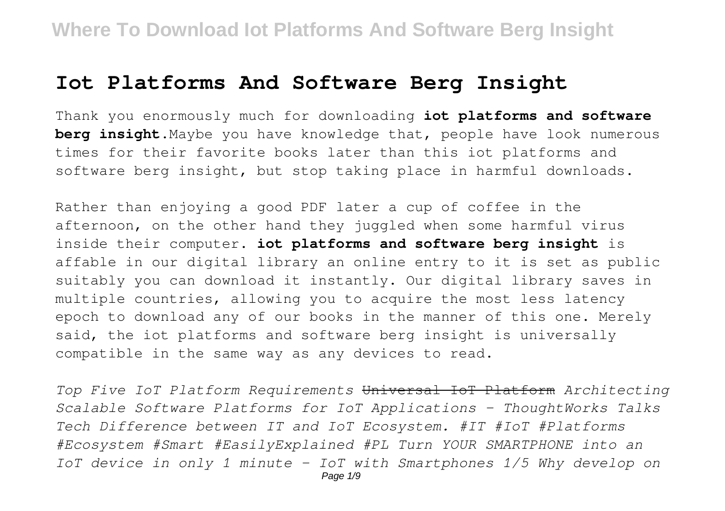## **Iot Platforms And Software Berg Insight**

Thank you enormously much for downloading **iot platforms and software berg insight**.Maybe you have knowledge that, people have look numerous times for their favorite books later than this iot platforms and software berg insight, but stop taking place in harmful downloads.

Rather than enjoying a good PDF later a cup of coffee in the afternoon, on the other hand they juggled when some harmful virus inside their computer. **iot platforms and software berg insight** is affable in our digital library an online entry to it is set as public suitably you can download it instantly. Our digital library saves in multiple countries, allowing you to acquire the most less latency epoch to download any of our books in the manner of this one. Merely said, the iot platforms and software berg insight is universally compatible in the same way as any devices to read.

*Top Five IoT Platform Requirements* Universal IoT Platform *Architecting Scalable Software Platforms for IoT Applications - ThoughtWorks Talks Tech Difference between IT and IoT Ecosystem. #IT #IoT #Platforms #Ecosystem #Smart #EasilyExplained #PL Turn YOUR SMARTPHONE into an IoT device in only 1 minute - IoT with Smartphones 1/5 Why develop on*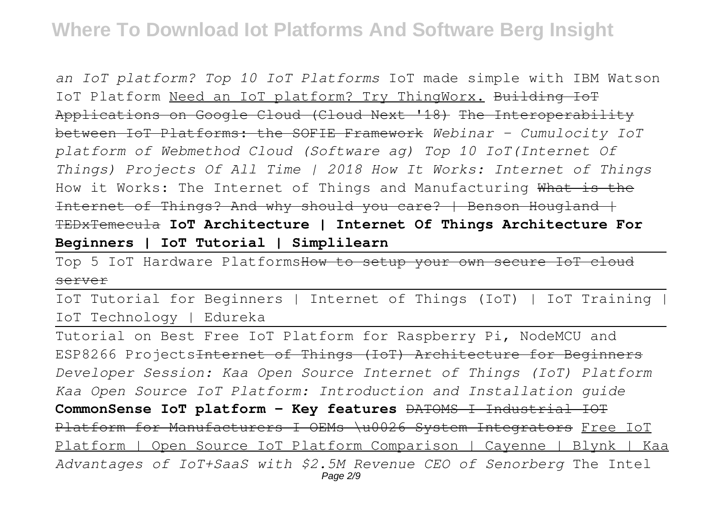# **Where To Download Iot Platforms And Software Berg Insight**

*an IoT platform? Top 10 IoT Platforms* IoT made simple with IBM Watson IoT Platform Need an IoT platform? Try ThingWorx. Building IoT Applications on Google Cloud (Cloud Next '18) The Interoperability between IoT Platforms: the SOFIE Framework *Webinar - Cumulocity IoT platform of Webmethod Cloud (Software ag) Top 10 IoT(Internet Of Things) Projects Of All Time | 2018 How It Works: Internet of Things* How it Works: The Internet of Things and Manufacturing What is the Internet of Things? And why should you care? | Benson Hougland + TEDxTemecula **IoT Architecture | Internet Of Things Architecture For Beginners | IoT Tutorial | Simplilearn**

Top 5 IoT Hardware PlatformsHow to setup your own secure IoT cloud server

IoT Tutorial for Beginners | Internet of Things (IoT) | IoT Training | IoT Technology | Edureka

Tutorial on Best Free IoT Platform for Raspberry Pi, NodeMCU and ESP8266 Projects<del>Internet of Things (IoT) Architecture for Beginners</del> *Developer Session: Kaa Open Source Internet of Things (IoT) Platform Kaa Open Source IoT Platform: Introduction and Installation guide* **CommonSense IoT platform - Key features** DATOMS I Industrial IOT Platform for Manufacturers I OEMs \u0026 System Integrators Free IoT Platform | Open Source IoT Platform Comparison | Cayenne | Blynk | Kaa *Advantages of IoT+SaaS with \$2.5M Revenue CEO of Senorberg* The Intel Page 2/9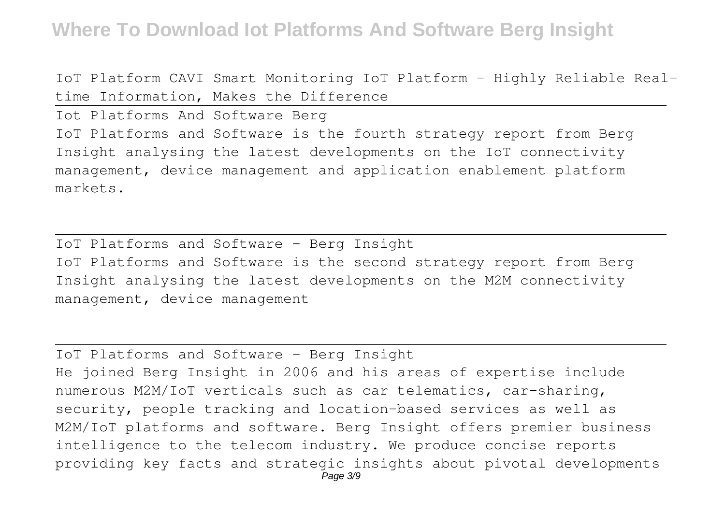# **Where To Download Iot Platforms And Software Berg Insight**

IoT Platform CAVI Smart Monitoring IoT Platform - Highly Reliable Realtime Information, Makes the Difference

Iot Platforms And Software Berg IoT Platforms and Software is the fourth strategy report from Berg Insight analysing the latest developments on the IoT connectivity management, device management and application enablement platform markets.

IoT Platforms and Software - Berg Insight IoT Platforms and Software is the second strategy report from Berg Insight analysing the latest developments on the M2M connectivity management, device management

IoT Platforms and Software - Berg Insight He joined Berg Insight in 2006 and his areas of expertise include numerous M2M/IoT verticals such as car telematics, car-sharing, security, people tracking and location-based services as well as M2M/IoT platforms and software. Berg Insight offers premier business intelligence to the telecom industry. We produce concise reports providing key facts and strategic insights about pivotal developments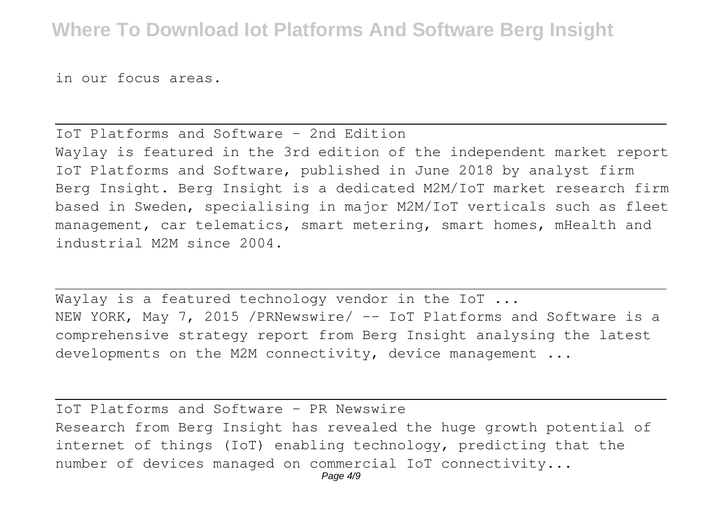in our focus areas.

### IoT Platforms and Software – 2nd Edition Waylay is featured in the 3rd edition of the independent market report IoT Platforms and Software, published in June 2018 by analyst firm Berg Insight. Berg Insight is a dedicated M2M/IoT market research firm based in Sweden, specialising in major M2M/IoT verticals such as fleet management, car telematics, smart metering, smart homes, mHealth and industrial M2M since 2004.

Wavlav is a featured technology vendor in the IoT ... NEW YORK, May 7, 2015 /PRNewswire/ -- IoT Platforms and Software is a comprehensive strategy report from Berg Insight analysing the latest developments on the M2M connectivity, device management ...

IoT Platforms and Software - PR Newswire Research from Berg Insight has revealed the huge growth potential of internet of things (IoT) enabling technology, predicting that the number of devices managed on commercial IoT connectivity...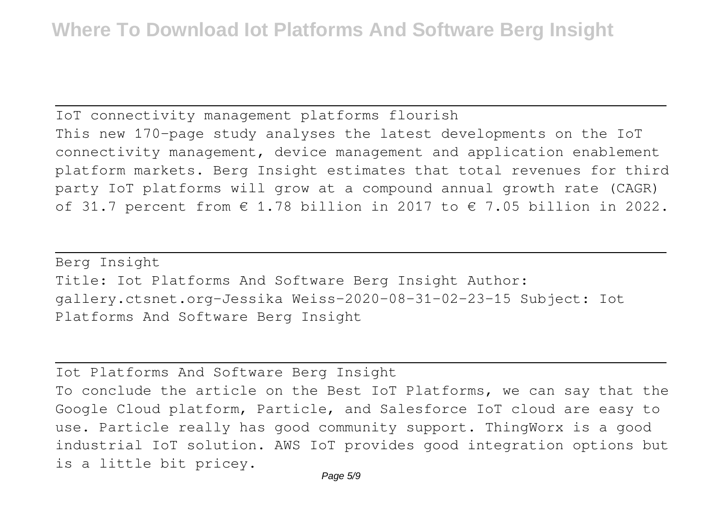IoT connectivity management platforms flourish This new 170-page study analyses the latest developments on the IoT connectivity management, device management and application enablement platform markets. Berg Insight estimates that total revenues for third party IoT platforms will grow at a compound annual growth rate (CAGR) of 31.7 percent from  $\in$  1.78 billion in 2017 to  $\in$  7.05 billion in 2022.

Berg Insight Title: Iot Platforms And Software Berg Insight Author: gallery.ctsnet.org-Jessika Weiss-2020-08-31-02-23-15 Subject: Iot Platforms And Software Berg Insight

Iot Platforms And Software Berg Insight To conclude the article on the Best IoT Platforms, we can say that the Google Cloud platform, Particle, and Salesforce IoT cloud are easy to use. Particle really has good community support. ThingWorx is a good industrial IoT solution. AWS IoT provides good integration options but is a little bit pricey.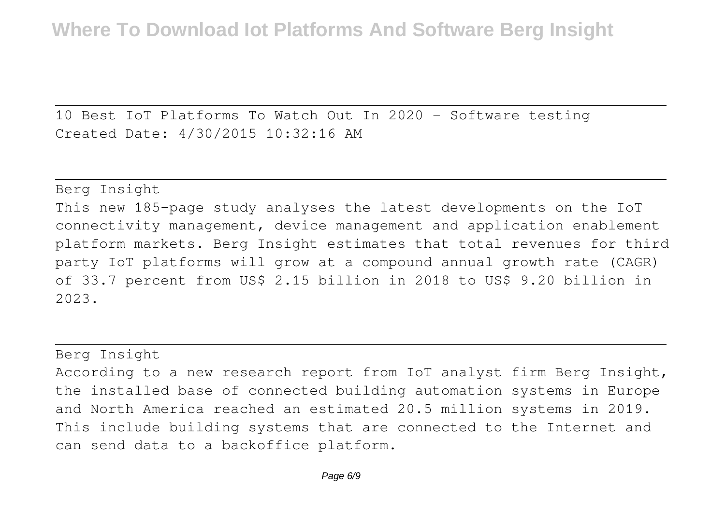10 Best IoT Platforms To Watch Out In 2020 - Software testing Created Date: 4/30/2015 10:32:16 AM

Berg Insight This new 185-page study analyses the latest developments on the IoT connectivity management, device management and application enablement platform markets. Berg Insight estimates that total revenues for third party IoT platforms will grow at a compound annual growth rate (CAGR) of 33.7 percent from US\$ 2.15 billion in 2018 to US\$ 9.20 billion in 2023.

#### Berg Insight

According to a new research report from IoT analyst firm Berg Insight, the installed base of connected building automation systems in Europe and North America reached an estimated 20.5 million systems in 2019. This include building systems that are connected to the Internet and can send data to a backoffice platform.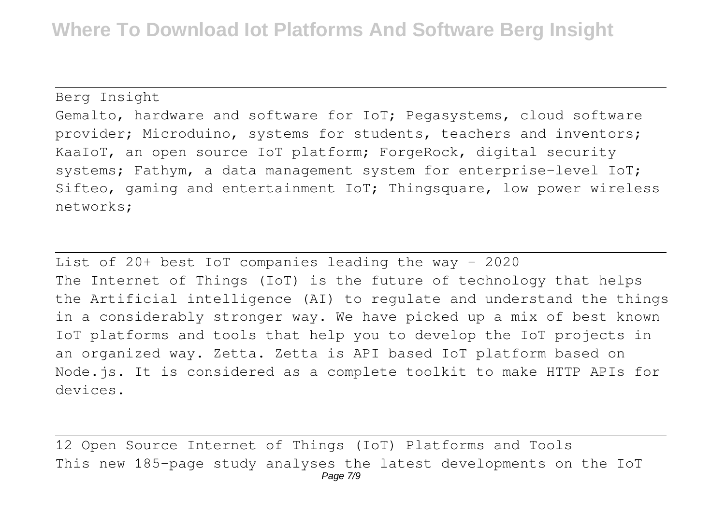Berg Insight

Gemalto, hardware and software for IoT; Pegasystems, cloud software provider; Microduino, systems for students, teachers and inventors; KaaIoT, an open source IoT platform; ForgeRock, digital security systems; Fathym, a data management system for enterprise-level IoT; Sifteo, gaming and entertainment IoT; Thingsquare, low power wireless networks;

List of 20+ best IoT companies leading the way - 2020 The Internet of Things (IoT) is the future of technology that helps the Artificial intelligence (AI) to regulate and understand the things in a considerably stronger way. We have picked up a mix of best known IoT platforms and tools that help you to develop the IoT projects in an organized way. Zetta. Zetta is API based IoT platform based on Node.js. It is considered as a complete toolkit to make HTTP APIs for devices.

12 Open Source Internet of Things (IoT) Platforms and Tools This new 185-page study analyses the latest developments on the IoT Page 7/9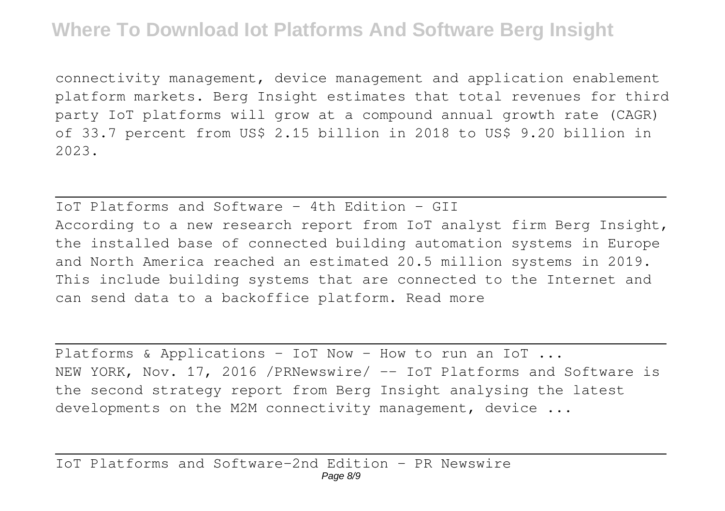connectivity management, device management and application enablement platform markets. Berg Insight estimates that total revenues for third party IoT platforms will grow at a compound annual growth rate (CAGR) of 33.7 percent from US\$ 2.15 billion in 2018 to US\$ 9.20 billion in 2023.

IoT Platforms and Software  $-$  4th Edition  $-$  GII According to a new research report from IoT analyst firm Berg Insight, the installed base of connected building automation systems in Europe and North America reached an estimated 20.5 million systems in 2019. This include building systems that are connected to the Internet and can send data to a backoffice platform. Read more

Platforms & Applications - IoT Now - How to run an IoT ... NEW YORK, Nov. 17, 2016 / PRNewswire/ -- IoT Platforms and Software is the second strategy report from Berg Insight analysing the latest developments on the M2M connectivity management, device ...